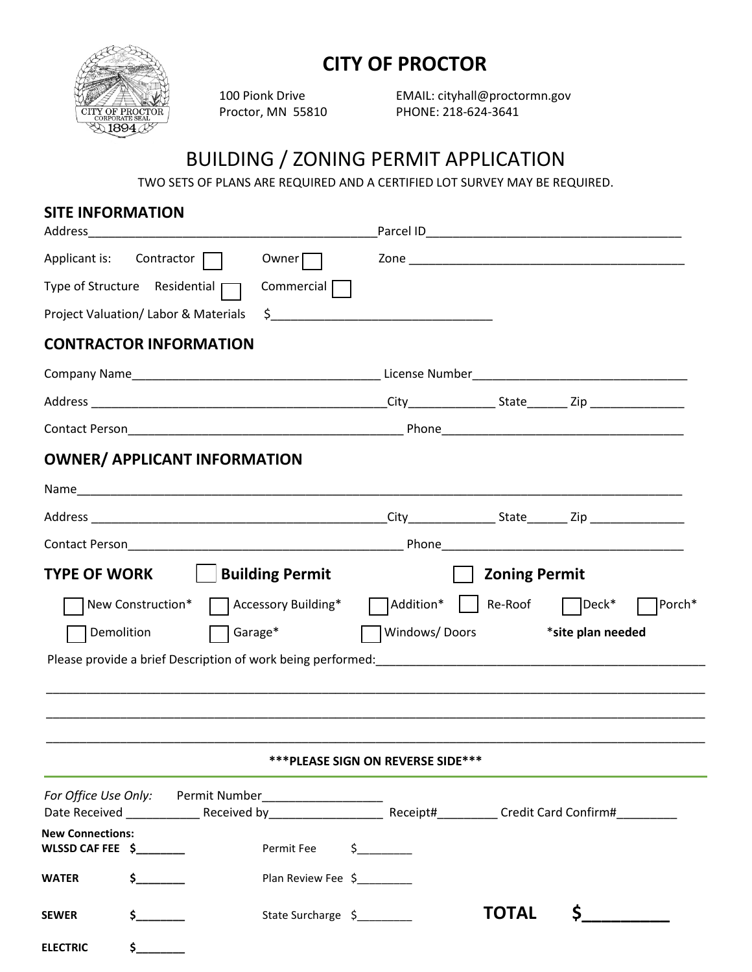

## **CITY OF PROCTOR**

100 Pionk Drive EMAIL: cityhall@proctormn.gov Proctor, MN 55810 PHONE: 218-624-3641

## BUILDING / ZONING PERMIT APPLICATION

TWO SETS OF PLANS ARE REQUIRED AND A CERTIFIED LOT SURVEY MAY BE REQUIRED.

## **SITE INFORMATION**

|                         | Applicant is: Contractor                                                                | Owner $\Box$               |                                    |                                                                                                                |                   |        |
|-------------------------|-----------------------------------------------------------------------------------------|----------------------------|------------------------------------|----------------------------------------------------------------------------------------------------------------|-------------------|--------|
|                         | Type of Structure Residential                                                           | Commercial $\Box$          |                                    |                                                                                                                |                   |        |
|                         | Project Valuation/Labor & Materials                                                     |                            | $\frac{1}{2}$                      |                                                                                                                |                   |        |
|                         | <b>CONTRACTOR INFORMATION</b>                                                           |                            |                                    |                                                                                                                |                   |        |
|                         |                                                                                         |                            |                                    |                                                                                                                |                   |        |
|                         |                                                                                         |                            |                                    |                                                                                                                |                   |        |
|                         |                                                                                         |                            |                                    |                                                                                                                |                   |        |
|                         | <b>OWNER/ APPLICANT INFORMATION</b>                                                     |                            |                                    |                                                                                                                |                   |        |
|                         |                                                                                         |                            |                                    |                                                                                                                |                   |        |
|                         |                                                                                         |                            |                                    |                                                                                                                |                   |        |
|                         |                                                                                         |                            |                                    |                                                                                                                |                   |        |
|                         | TYPE OF WORK   Building Permit<br>New Construction* □ Accessory Building*<br>Demolition | Garage*                    | Windows/Doors                      | <b>Zoning Permit</b><br>$\sqrt{\phantom{a}}$ Addition* $\sqrt{\phantom{a}}$ Re-Roof $\sqrt{\phantom{a}}$ Deck* | *site plan needed | Porch* |
|                         |                                                                                         |                            | *** PLEASE SIGN ON REVERSE SIDE*** |                                                                                                                |                   |        |
|                         |                                                                                         |                            |                                    |                                                                                                                |                   |        |
| <b>New Connections:</b> |                                                                                         |                            |                                    |                                                                                                                |                   |        |
|                         | WLSSD CAF FEE $\zeta$                                                                   | Permit Fee                 | $\frac{1}{2}$                      |                                                                                                                |                   |        |
| WATER                   | $\frac{1}{2}$                                                                           | Plan Review Fee \$________ |                                    |                                                                                                                |                   |        |
| SEWER                   | $\frac{1}{2}$                                                                           | State Surcharge \$         |                                    | <b>TOTAL</b>                                                                                                   | \$.               |        |
| <b>ELECTRIC</b>         | $\frac{\xi}{\xi}$                                                                       |                            |                                    |                                                                                                                |                   |        |